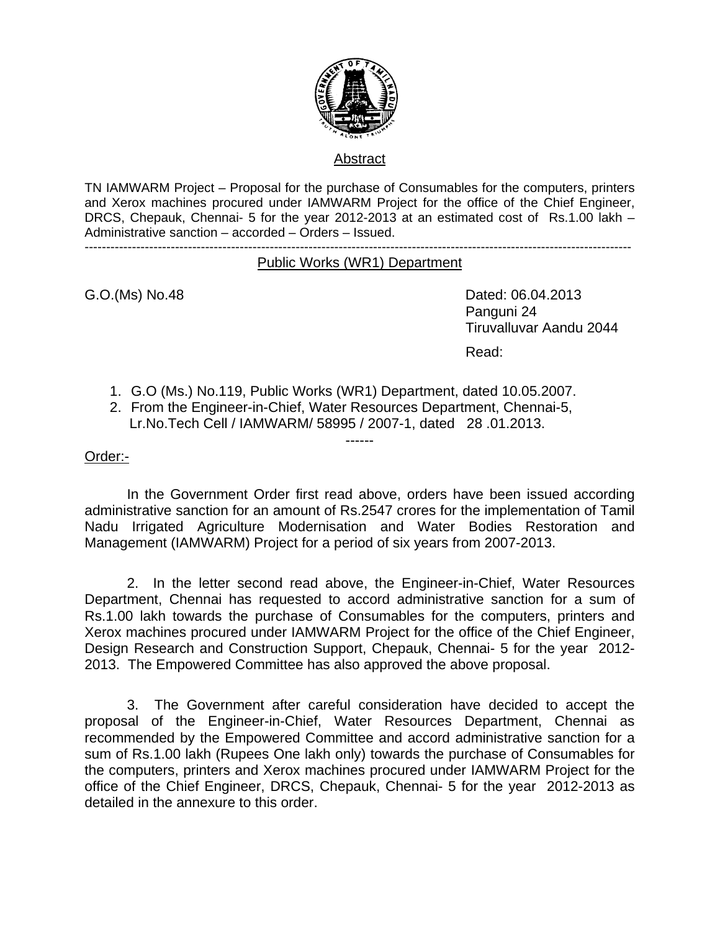

### Abstract

TN IAMWARM Project – Proposal for the purchase of Consumables for the computers, printers and Xerox machines procured under IAMWARM Project for the office of the Chief Engineer, DRCS, Chepauk, Chennai- 5 for the year 2012-2013 at an estimated cost of Rs.1.00 lakh – Administrative sanction – accorded – Orders – Issued.

-------------------------------------------------------------------------------------------------------------------------------

#### Public Works (WR1) Department

G.O.(Ms) No.48 Dated: 06.04.2013 Panguni 24 Tiruvalluvar Aandu 2044 **Read:** The contract of the contract of the contract of the Read:

- 1. G.O (Ms.) No.119, Public Works (WR1) Department, dated 10.05.2007.
- 2. From the Engineer-in-Chief, Water Resources Department, Chennai-5, Lr.No.Tech Cell / IAMWARM/ 58995 / 2007-1, dated 28 .01.2013.

#### Order:-

 In the Government Order first read above, orders have been issued according administrative sanction for an amount of Rs.2547 crores for the implementation of Tamil Nadu Irrigated Agriculture Modernisation and Water Bodies Restoration and Management (IAMWARM) Project for a period of six years from 2007-2013.

------

 2. In the letter second read above, the Engineer-in-Chief, Water Resources Department, Chennai has requested to accord administrative sanction for a sum of Rs.1.00 lakh towards the purchase of Consumables for the computers, printers and Xerox machines procured under IAMWARM Project for the office of the Chief Engineer, Design Research and Construction Support, Chepauk, Chennai- 5 for the year 2012- 2013. The Empowered Committee has also approved the above proposal.

3. The Government after careful consideration have decided to accept the proposal of the Engineer-in-Chief, Water Resources Department, Chennai as recommended by the Empowered Committee and accord administrative sanction for a sum of Rs.1.00 lakh (Rupees One lakh only) towards the purchase of Consumables for the computers, printers and Xerox machines procured under IAMWARM Project for the office of the Chief Engineer, DRCS, Chepauk, Chennai- 5 for the year 2012-2013 as detailed in the annexure to this order.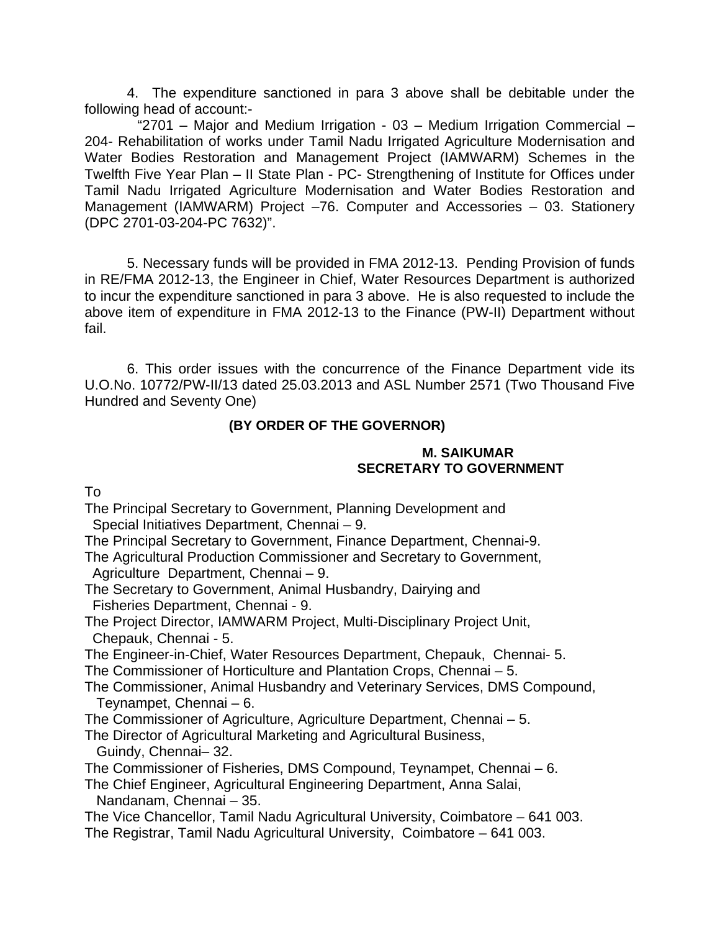4. The expenditure sanctioned in para 3 above shall be debitable under the following head of account:-

 "2701 – Major and Medium Irrigation - 03 – Medium Irrigation Commercial – 204- Rehabilitation of works under Tamil Nadu Irrigated Agriculture Modernisation and Water Bodies Restoration and Management Project (IAMWARM) Schemes in the Twelfth Five Year Plan – II State Plan - PC- Strengthening of Institute for Offices under Tamil Nadu Irrigated Agriculture Modernisation and Water Bodies Restoration and Management (IAMWARM) Project –76. Computer and Accessories – 03. Stationery (DPC 2701-03-204-PC 7632)".

5. Necessary funds will be provided in FMA 2012-13. Pending Provision of funds in RE/FMA 2012-13, the Engineer in Chief, Water Resources Department is authorized to incur the expenditure sanctioned in para 3 above. He is also requested to include the above item of expenditure in FMA 2012-13 to the Finance (PW-II) Department without fail.

6. This order issues with the concurrence of the Finance Department vide its U.O.No. 10772/PW-II/13 dated 25.03.2013 and ASL Number 2571 (Two Thousand Five Hundred and Seventy One)

### **(BY ORDER OF THE GOVERNOR)**

### **M. SAIKUMAR SECRETARY TO GOVERNMENT**

To

The Principal Secretary to Government, Planning Development and Special Initiatives Department, Chennai – 9.

The Principal Secretary to Government, Finance Department, Chennai-9.

The Agricultural Production Commissioner and Secretary to Government, Agriculture Department, Chennai – 9.

- The Secretary to Government, Animal Husbandry, Dairying and Fisheries Department, Chennai - 9.
- The Project Director, IAMWARM Project, Multi-Disciplinary Project Unit, Chepauk, Chennai - 5.

The Engineer-in-Chief, Water Resources Department, Chepauk, Chennai- 5.

The Commissioner of Horticulture and Plantation Crops, Chennai – 5.

- The Commissioner, Animal Husbandry and Veterinary Services, DMS Compound, Teynampet, Chennai – 6.
- The Commissioner of Agriculture, Agriculture Department, Chennai 5.
- The Director of Agricultural Marketing and Agricultural Business, Guindy, Chennai– 32.

The Commissioner of Fisheries, DMS Compound, Teynampet, Chennai – 6.

The Chief Engineer, Agricultural Engineering Department, Anna Salai, Nandanam, Chennai – 35.

The Vice Chancellor, Tamil Nadu Agricultural University, Coimbatore – 641 003. The Registrar, Tamil Nadu Agricultural University, Coimbatore – 641 003.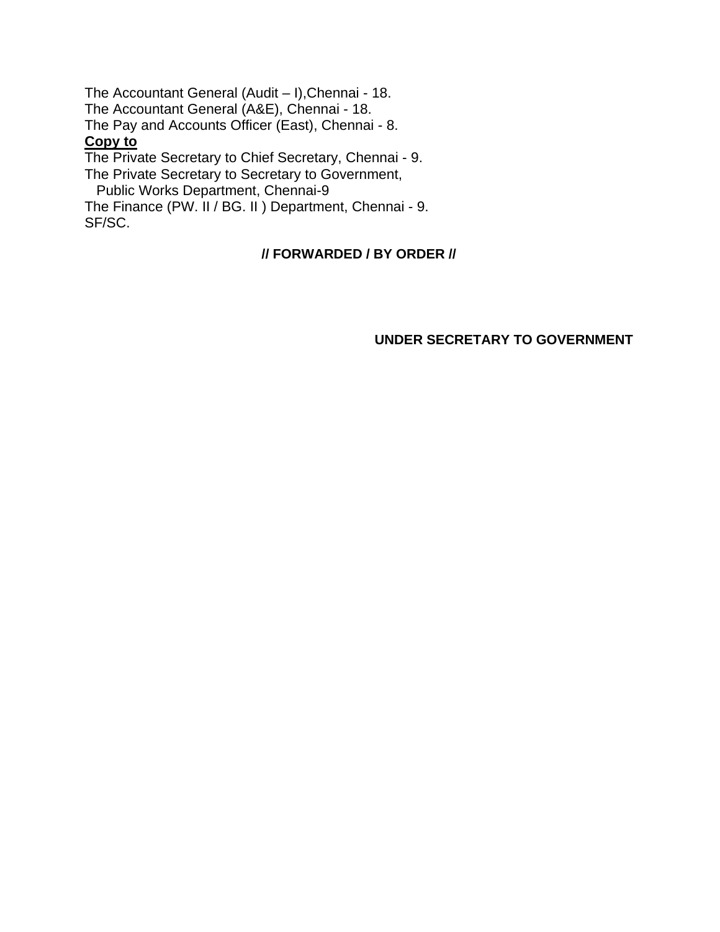The Accountant General (Audit – I),Chennai - 18. The Accountant General (A&E), Chennai - 18. The Pay and Accounts Officer (East), Chennai - 8. **Copy to** The Private Secretary to Chief Secretary, Chennai - 9. The Private Secretary to Secretary to Government, Public Works Department, Chennai-9

The Finance (PW. II / BG. II ) Department, Chennai - 9. SF/SC.

### **// FORWARDED / BY ORDER //**

### **UNDER SECRETARY TO GOVERNMENT**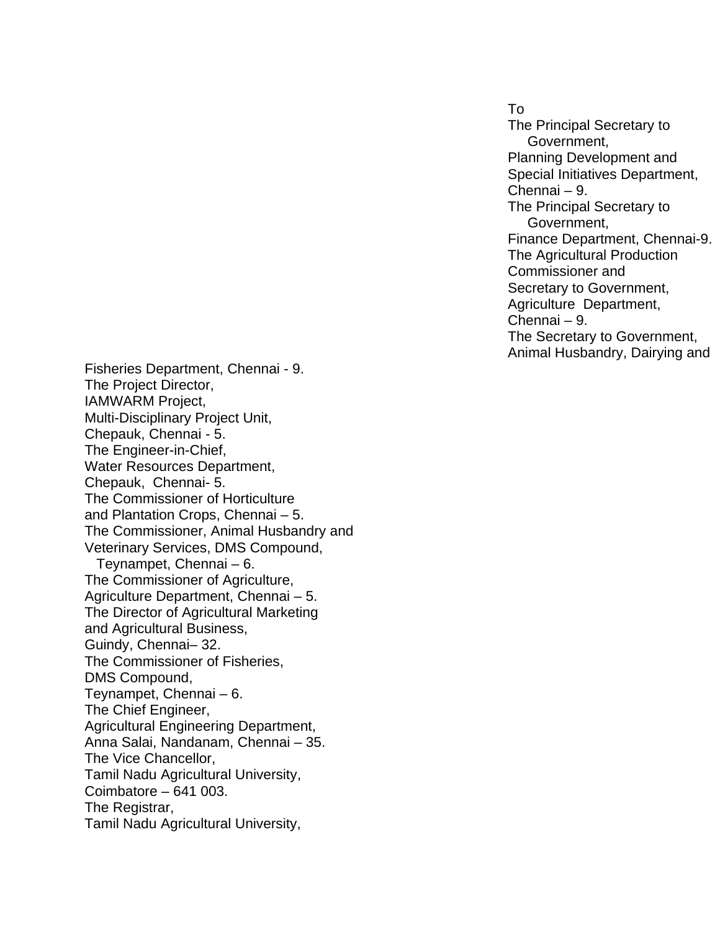To The Principal Secretary to Government, Planning Development and Special Initiatives Department, Chennai – 9. The Principal Secretary to Government, Finance Department, Chennai-9. The Agricultural Production Commissioner and Secretary to Government, Agriculture Department, Chennai – 9. The Secretary to Government, Animal Husbandry, Dairying and

Fisheries Department, Chennai - 9. The Project Director, IAMWARM Project, Multi-Disciplinary Project Unit, Chepauk, Chennai - 5. The Engineer-in-Chief, Water Resources Department, Chepauk, Chennai- 5. The Commissioner of Horticulture and Plantation Crops, Chennai – 5. The Commissioner, Animal Husbandry and Veterinary Services, DMS Compound, Teynampet, Chennai – 6. The Commissioner of Agriculture, Agriculture Department, Chennai – 5. The Director of Agricultural Marketing and Agricultural Business, Guindy, Chennai– 32. The Commissioner of Fisheries, DMS Compound, Teynampet, Chennai – 6. The Chief Engineer, Agricultural Engineering Department, Anna Salai, Nandanam, Chennai – 35. The Vice Chancellor, Tamil Nadu Agricultural University, Coimbatore – 641 003. The Registrar, Tamil Nadu Agricultural University,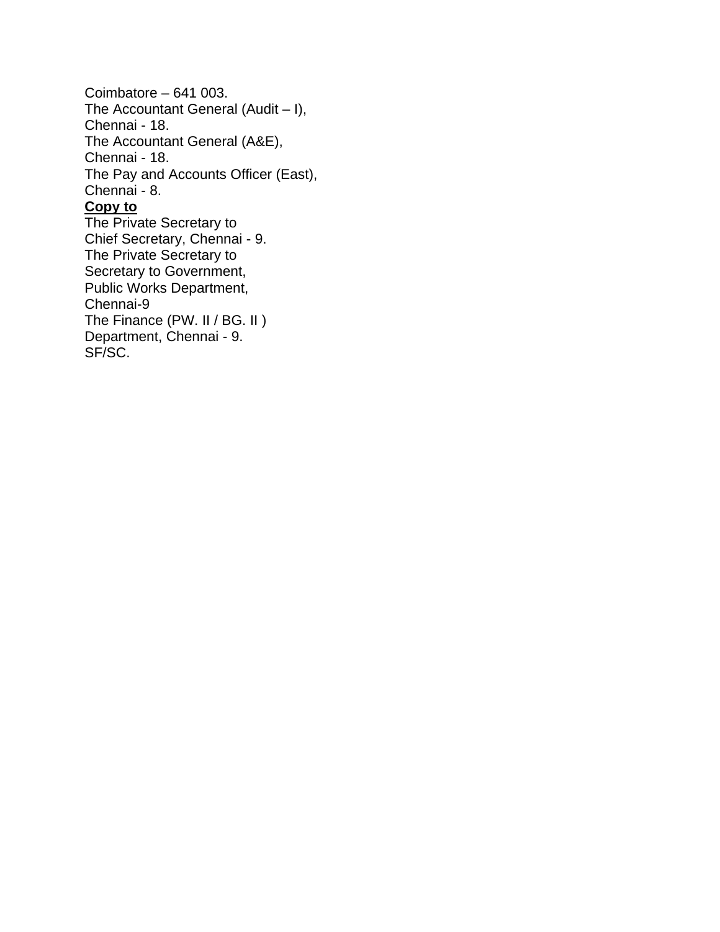Coimbatore – 641 003. The Accountant General (Audit – I), Chennai - 18. The Accountant General (A&E), Chennai - 18. The Pay and Accounts Officer (East), Chennai - 8. **Copy to** The Private Secretary to Chief Secretary, Chennai - 9. The Private Secretary to Secretary to Government,

Public Works Department, Chennai-9

The Finance (PW. II / BG. II) Department, Chennai - 9.

SF/SC.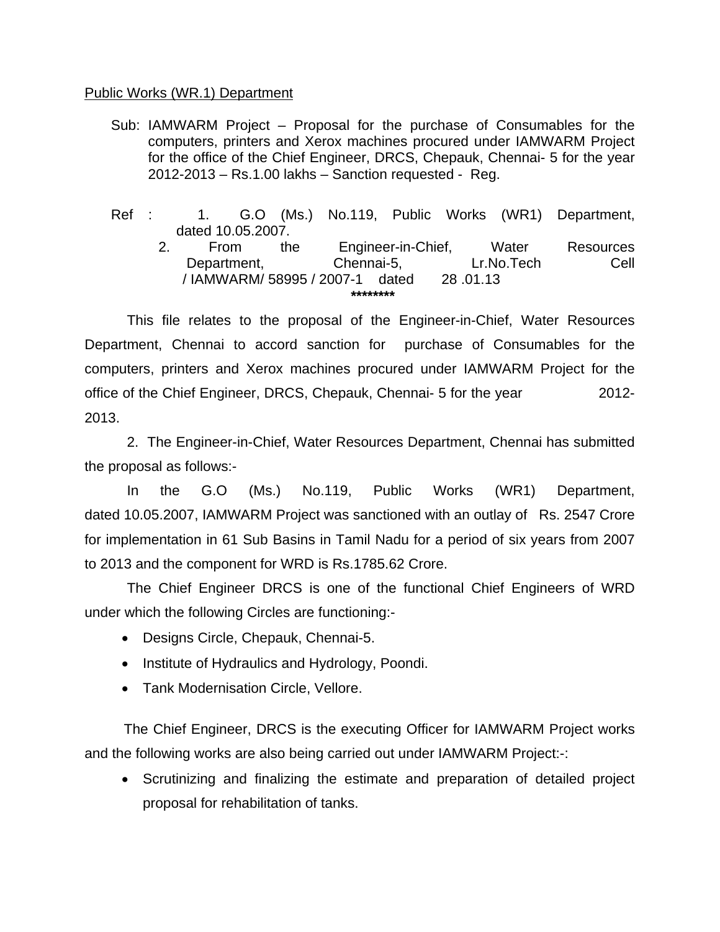#### Public Works (WR.1) Department

- Sub: IAMWARM Project Proposal for the purchase of Consumables for the computers, printers and Xerox machines procured under IAMWARM Project for the office of the Chief Engineer, DRCS, Chepauk, Chennai- 5 for the year 2012-2013 – Rs.1.00 lakhs – Sanction requested - Reg.
- Ref : 1. G.O (Ms.) No.119, Public Works (WR1) Department, dated 10.05.2007.
	- 2. From the Engineer-in-Chief, Water Resources Department, Chennai-5, Lr.No.Tech Cell / IAMWARM/ 58995 / 2007-1 dated 28 .01.13 **\*\*\*\*\*\*\*\***

 This file relates to the proposal of the Engineer-in-Chief, Water Resources Department, Chennai to accord sanction for purchase of Consumables for the computers, printers and Xerox machines procured under IAMWARM Project for the office of the Chief Engineer, DRCS, Chepauk, Chennai- 5 for the year 2012- 2013.

 2. The Engineer-in-Chief, Water Resources Department, Chennai has submitted the proposal as follows:-

 In the G.O (Ms.) No.119, Public Works (WR1) Department, dated 10.05.2007, IAMWARM Project was sanctioned with an outlay of Rs. 2547 Crore for implementation in 61 Sub Basins in Tamil Nadu for a period of six years from 2007 to 2013 and the component for WRD is Rs.1785.62 Crore.

 The Chief Engineer DRCS is one of the functional Chief Engineers of WRD under which the following Circles are functioning:-

- Designs Circle, Chepauk, Chennai-5.
- Institute of Hydraulics and Hydrology, Poondi.
- Tank Modernisation Circle, Vellore.

 The Chief Engineer, DRCS is the executing Officer for IAMWARM Project works and the following works are also being carried out under IAMWARM Project:-:

• Scrutinizing and finalizing the estimate and preparation of detailed project proposal for rehabilitation of tanks.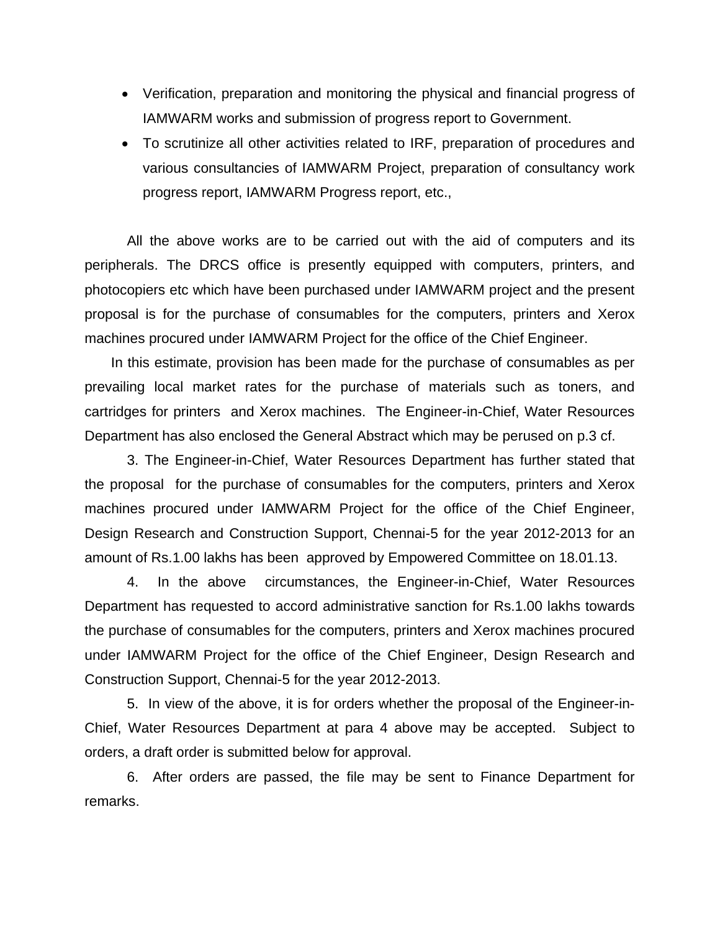- Verification, preparation and monitoring the physical and financial progress of IAMWARM works and submission of progress report to Government.
- To scrutinize all other activities related to IRF, preparation of procedures and various consultancies of IAMWARM Project, preparation of consultancy work progress report, IAMWARM Progress report, etc.,

All the above works are to be carried out with the aid of computers and its peripherals. The DRCS office is presently equipped with computers, printers, and photocopiers etc which have been purchased under IAMWARM project and the present proposal is for the purchase of consumables for the computers, printers and Xerox machines procured under IAMWARM Project for the office of the Chief Engineer.

In this estimate, provision has been made for the purchase of consumables as per prevailing local market rates for the purchase of materials such as toners, and cartridges for printers and Xerox machines. The Engineer-in-Chief, Water Resources Department has also enclosed the General Abstract which may be perused on p.3 cf.

3. The Engineer-in-Chief, Water Resources Department has further stated that the proposal for the purchase of consumables for the computers, printers and Xerox machines procured under IAMWARM Project for the office of the Chief Engineer, Design Research and Construction Support, Chennai-5 for the year 2012-2013 for an amount of Rs.1.00 lakhs has been approved by Empowered Committee on 18.01.13.

4. In the above circumstances, the Engineer-in-Chief, Water Resources Department has requested to accord administrative sanction for Rs.1.00 lakhs towards the purchase of consumables for the computers, printers and Xerox machines procured under IAMWARM Project for the office of the Chief Engineer, Design Research and Construction Support, Chennai-5 for the year 2012-2013.

5. In view of the above, it is for orders whether the proposal of the Engineer-in-Chief, Water Resources Department at para 4 above may be accepted. Subject to orders, a draft order is submitted below for approval.

6. After orders are passed, the file may be sent to Finance Department for remarks.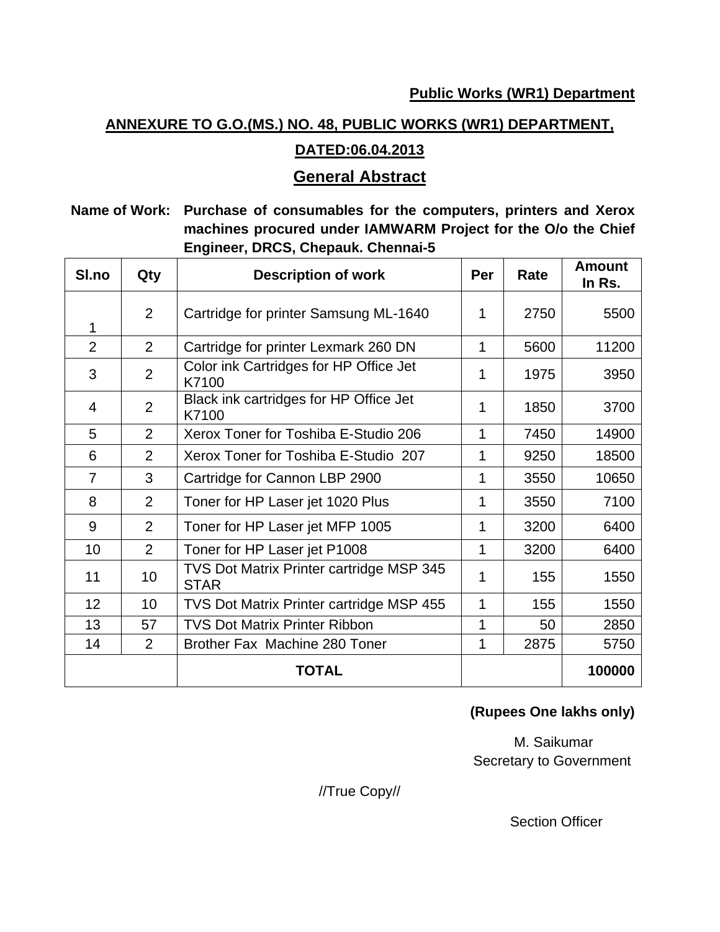# **ANNEXURE TO G.O.(MS.) NO. 48, PUBLIC WORKS (WR1) DEPARTMENT,**

# **DATED:06.04.2013**

# **General Abstract**

# **Name of Work: Purchase of consumables for the computers, printers and Xerox machines procured under IAMWARM Project for the O/o the Chief Engineer, DRCS, Chepauk. Chennai-5**

| SI.no          | Qty            | <b>Description of work</b>                              | Per | Rate | <b>Amount</b><br>In Rs. |
|----------------|----------------|---------------------------------------------------------|-----|------|-------------------------|
| 1              | 2              | Cartridge for printer Samsung ML-1640                   | 1   | 2750 | 5500                    |
| $\overline{2}$ | 2              | Cartridge for printer Lexmark 260 DN                    | 1   | 5600 | 11200                   |
| 3              | $\overline{2}$ | Color ink Cartridges for HP Office Jet<br>K7100         | 1   | 1975 | 3950                    |
| 4              | 2              | Black ink cartridges for HP Office Jet<br>K7100         | 1   | 1850 | 3700                    |
| 5              | 2              | Xerox Toner for Toshiba E-Studio 206                    | 1   | 7450 | 14900                   |
| 6              | 2              | Xerox Toner for Toshiba E-Studio 207                    | 1   | 9250 | 18500                   |
| $\overline{7}$ | 3              | Cartridge for Cannon LBP 2900                           | 1   | 3550 | 10650                   |
| 8              | 2              | Toner for HP Laser jet 1020 Plus                        | 1   | 3550 | 7100                    |
| 9              | $\overline{2}$ | Toner for HP Laser jet MFP 1005                         | 1   | 3200 | 6400                    |
| 10             | $\overline{2}$ | Toner for HP Laser jet P1008                            | 1   | 3200 | 6400                    |
| 11             | 10             | TVS Dot Matrix Printer cartridge MSP 345<br><b>STAR</b> | 1   | 155  | 1550                    |
| 12             | 10             | <b>TVS Dot Matrix Printer cartridge MSP 455</b>         | 1   | 155  | 1550                    |
| 13             | 57             | <b>TVS Dot Matrix Printer Ribbon</b>                    | 1   | 50   | 2850                    |
| 14             | $\overline{2}$ | Brother Fax Machine 280 Toner                           | 1   | 2875 | 5750                    |
|                |                | <b>TOTAL</b>                                            |     |      | 100000                  |

# **(Rupees One lakhs only)**

 M. Saikumar Secretary to Government

//True Copy//

Section Officer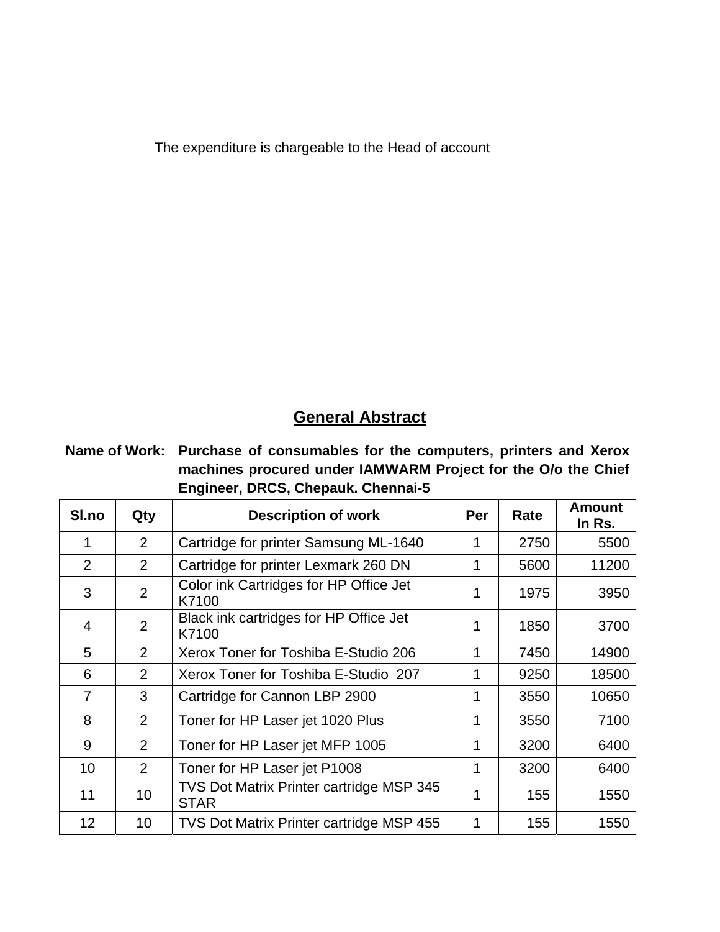The expenditure is chargeable to the Head of account

# **General Abstract**

**Name of Work: Purchase of consumables for the computers, printers and Xerox machines procured under IAMWARM Project for the O/o the Chief Engineer, DRCS, Chepauk. Chennai-5**

| SI.no          | Qty             | <b>Description of work</b>                              | Per | Rate | <b>Amount</b><br>In Rs. |
|----------------|-----------------|---------------------------------------------------------|-----|------|-------------------------|
|                | $\overline{2}$  | Cartridge for printer Samsung ML-1640                   | 1   | 2750 | 5500                    |
| 2              | 2               | Cartridge for printer Lexmark 260 DN                    | 1   | 5600 | 11200                   |
| 3              | $\overline{2}$  | Color ink Cartridges for HP Office Jet<br>K7100         | 1   | 1975 | 3950                    |
| 4              | $\overline{2}$  | Black ink cartridges for HP Office Jet<br>K7100         | 1   | 1850 | 3700                    |
| 5              | 2               | Xerox Toner for Toshiba E-Studio 206                    | 1   | 7450 | 14900                   |
| 6              | 2               | Xerox Toner for Toshiba E-Studio 207                    | 1   | 9250 | 18500                   |
| $\overline{7}$ | 3               | Cartridge for Cannon LBP 2900                           | 1   | 3550 | 10650                   |
| 8              | 2               | Toner for HP Laser jet 1020 Plus                        | 1   | 3550 | 7100                    |
| 9              | $\overline{2}$  | Toner for HP Laser jet MFP 1005                         | 1   | 3200 | 6400                    |
| 10             | 2               | Toner for HP Laser jet P1008                            | 1   | 3200 | 6400                    |
| 11             | 10              | TVS Dot Matrix Printer cartridge MSP 345<br><b>STAR</b> | 1   | 155  | 1550                    |
| 12             | 10 <sup>1</sup> | <b>TVS Dot Matrix Printer cartridge MSP 455</b>         | 1   | 155  | 1550                    |